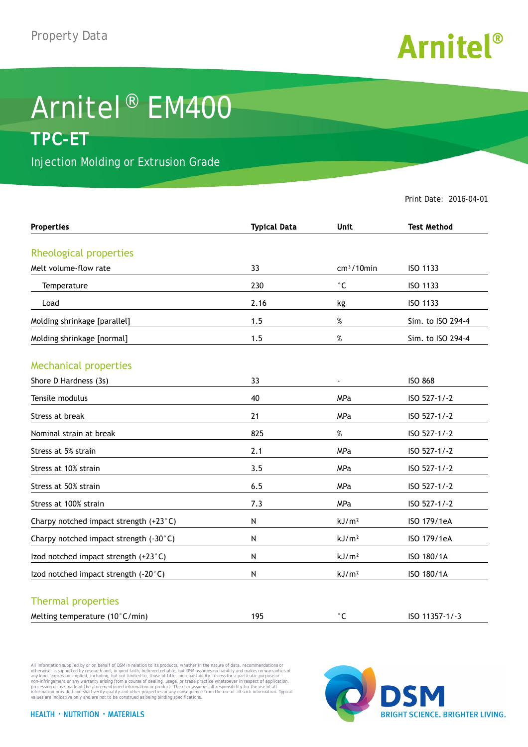

## Arnitel® EM400 **TPC-ET**

Injection Molding or Extrusion Grade

Print Date: 2016-04-01

| <b>Properties</b>                      | <b>Typical Data</b> | <b>Unit</b>       | <b>Test Method</b> |
|----------------------------------------|---------------------|-------------------|--------------------|
| Rheological properties                 |                     |                   |                    |
| Melt volume-flow rate                  | 33                  | $cm3/10$ min      | ISO 1133           |
| Temperature                            | 230                 | $^{\circ}$ C      | ISO 1133           |
| Load                                   | 2.16                | kg                | ISO 1133           |
| Molding shrinkage [parallel]           | 1.5                 | $\%$              | Sim. to ISO 294-4  |
| Molding shrinkage [normal]             | 1.5                 | $\%$              | Sim. to ISO 294-4  |
| <b>Mechanical properties</b>           |                     |                   |                    |
| Shore D Hardness (3s)                  | 33                  | $\blacksquare$    | <b>ISO 868</b>     |
| Tensile modulus                        | 40                  | MPa               | ISO 527-1/-2       |
| Stress at break                        | 21                  | MPa               | ISO 527-1/-2       |
| Nominal strain at break                | 825                 | $\%$              | ISO 527-1/-2       |
| Stress at 5% strain                    | 2.1                 | MPa               | ISO 527-1/-2       |
| Stress at 10% strain                   | 3.5                 | MPa               | ISO 527-1/-2       |
| Stress at 50% strain                   | 6.5                 | <b>MPa</b>        | ISO 527-1/-2       |
| Stress at 100% strain                  | 7.3                 | MPa               | ISO 527-1/-2       |
| Charpy notched impact strength (+23°C) | N                   | kJ/m <sup>2</sup> | ISO 179/1eA        |
| Charpy notched impact strength (-30°C) | N                   | kJ/m <sup>2</sup> | ISO 179/1eA        |
| Izod notched impact strength (+23°C)   | N                   | kJ/m <sup>2</sup> | ISO 180/1A         |
| Izod notched impact strength (-20°C)   | ${\sf N}$           | kJ/m <sup>2</sup> | ISO 180/1A         |
| <b>Thermal properties</b>              |                     |                   |                    |
| Melting temperature (10°C/min)         | 195                 | $^{\circ}$ C      | ISO 11357-1/-3     |

All information supplied by or on behalf of DSM in relation to its products, whether in the nature of data, recommendations or others in the matter of the order or the matter of the commendations or others in any kind, exp